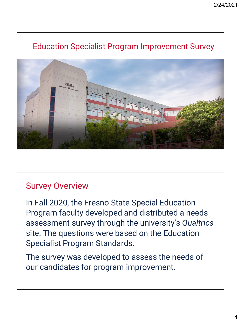

#### Survey Overview

In Fall 2020, the Fresno State Special Education Program faculty developed and distributed a needs assessment survey through the university's *Qualtrics* site. The questions were based on the Education Specialist Program Standards.

The survey was developed to assess the needs of our candidates for program improvement.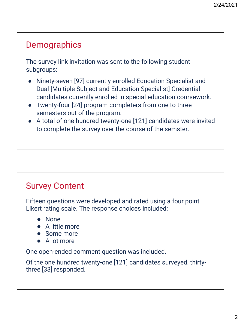## **Demographics**

The survey link invitation was sent to the following student subgroups:

- Ninety-seven [97] currently enrolled Education Specialist and Dual [Multiple Subject and Education Specialist] Credential candidates currently enrolled in special education coursework.
- Twenty-four [24] program completers from one to three semesters out of the program.
- A total of one hundred twenty-one [121] candidates were invited to complete the survey over the course of the semster.

### Survey Content

Fifteen questions were developed and rated using a four point Likert rating scale. The response choices included:

- None
- A little more
- Some more
- A lot more

One open-ended comment question was included.

Of the one hundred twenty-one [121] candidates surveyed, thirtythree [33] responded.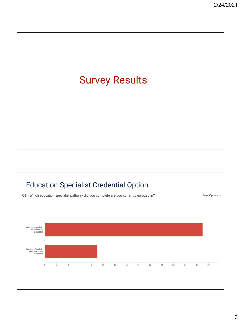

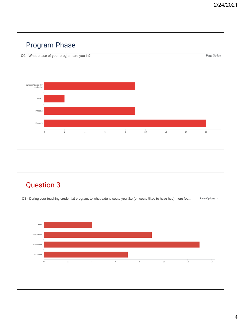

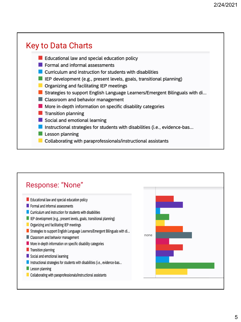

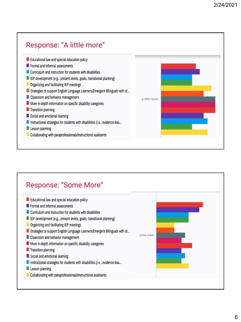

#### Response: "Some More"Educational law and special education policy  $\blacksquare$  Formal and informal assessments Curriculum and instruction for students with disabilities E IEP development (e.g., present levels, goals, transitional planning) Organizing and facilitating IEP meetings Strategies to support English Language Learners/Emergent Bilinguals with di... some more Classroom and behavior management More in-depth information on specific disability categories Transition planning Social and emotional learning Instructional strategies for students with disabilities (i.e., evidence-bas... Lesson planning Collaborating with paraprofessionals/instructional assistants